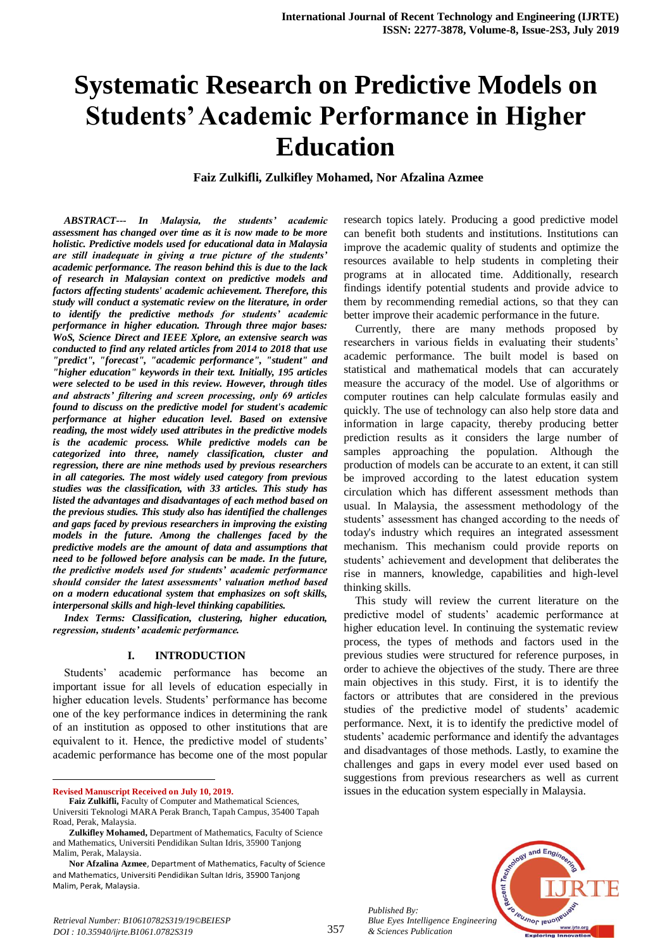# **Systematic Research on Predictive Models on Students' Academic Performance in Higher Education**

**Faiz Zulkifli, Zulkifley Mohamed, Nor Afzalina Azmee**

*ABSTRACT--- In Malaysia, the students' academic assessment has changed over time as it is now made to be more holistic. Predictive models used for educational data in Malaysia are still inadequate in giving a true picture of the students' academic performance. The reason behind this is due to the lack of research in Malaysian context on predictive models and factors affecting students' academic achievement. Therefore, this study will conduct a systematic review on the literature, in order to identify the predictive methods for students' academic performance in higher education. Through three major bases: WoS, Science Direct and IEEE Xplore, an extensive search was conducted to find any related articles from 2014 to 2018 that use "predict", "forecast", "academic performance", "student" and "higher education" keywords in their text. Initially, 195 articles were selected to be used in this review. However, through titles and abstracts' filtering and screen processing, only 69 articles found to discuss on the predictive model for student's academic performance at higher education level. Based on extensive reading, the most widely used attributes in the predictive models is the academic process. While predictive models can be categorized into three, namely classification, cluster and regression, there are nine methods used by previous researchers in all categories. The most widely used category from previous studies was the classification, with 33 articles. This study has listed the advantages and disadvantages of each method based on the previous studies. This study also has identified the challenges and gaps faced by previous researchers in improving the existing models in the future. Among the challenges faced by the predictive models are the amount of data and assumptions that need to be followed before analysis can be made. In the future, the predictive models used for students' academic performance should consider the latest assessments' valuation method based on a modern educational system that emphasizes on soft skills, interpersonal skills and high-level thinking capabilities.*

*Index Terms: Classification, clustering, higher education, regression, students' academic performance.*

#### **I. INTRODUCTION**

Students' academic performance has become an important issue for all levels of education especially in higher education levels. Students' performance has become one of the key performance indices in determining the rank of an institution as opposed to other institutions that are equivalent to it. Hence, the predictive model of students' academic performance has become one of the most popular

1 **Revised Manuscript Received on July 10, 2019.** research topics lately. Producing a good predictive model can benefit both students and institutions. Institutions can improve the academic quality of students and optimize the resources available to help students in completing their programs at in allocated time. Additionally, research findings identify potential students and provide advice to them by recommending remedial actions, so that they can better improve their academic performance in the future.

Currently, there are many methods proposed by researchers in various fields in evaluating their students' academic performance. The built model is based on statistical and mathematical models that can accurately measure the accuracy of the model. Use of algorithms or computer routines can help calculate formulas easily and quickly. The use of technology can also help store data and information in large capacity, thereby producing better prediction results as it considers the large number of samples approaching the population. Although the production of models can be accurate to an extent, it can still be improved according to the latest education system circulation which has different assessment methods than usual. In Malaysia, the assessment methodology of the students' assessment has changed according to the needs of today's industry which requires an integrated assessment mechanism. This mechanism could provide reports on students' achievement and development that deliberates the rise in manners, knowledge, capabilities and high-level thinking skills.

This study will review the current literature on the predictive model of students' academic performance at higher education level. In continuing the systematic review process, the types of methods and factors used in the previous studies were structured for reference purposes, in order to achieve the objectives of the study. There are three main objectives in this study. First, it is to identify the factors or attributes that are considered in the previous studies of the predictive model of students' academic performance. Next, it is to identify the predictive model of students' academic performance and identify the advantages and disadvantages of those methods. Lastly, to examine the challenges and gaps in every model ever used based on suggestions from previous researchers as well as current issues in the education system especially in Malaysia.





**Faiz Zulkifli,** Faculty of Computer and Mathematical Sciences, Universiti Teknologi MARA Perak Branch, Tapah Campus, 35400 Tapah Road, Perak, Malaysia.

**Zulkifley Mohamed,** Department of Mathematics, Faculty of Science and Mathematics, Universiti Pendidikan Sultan Idris, 35900 Tanjong Malim, Perak, Malaysia.

**Nor Afzalina Azmee**, Department of Mathematics, Faculty of Science and Mathematics, Universiti Pendidikan Sultan Idris, 35900 Tanjong Malim, Perak, Malaysia.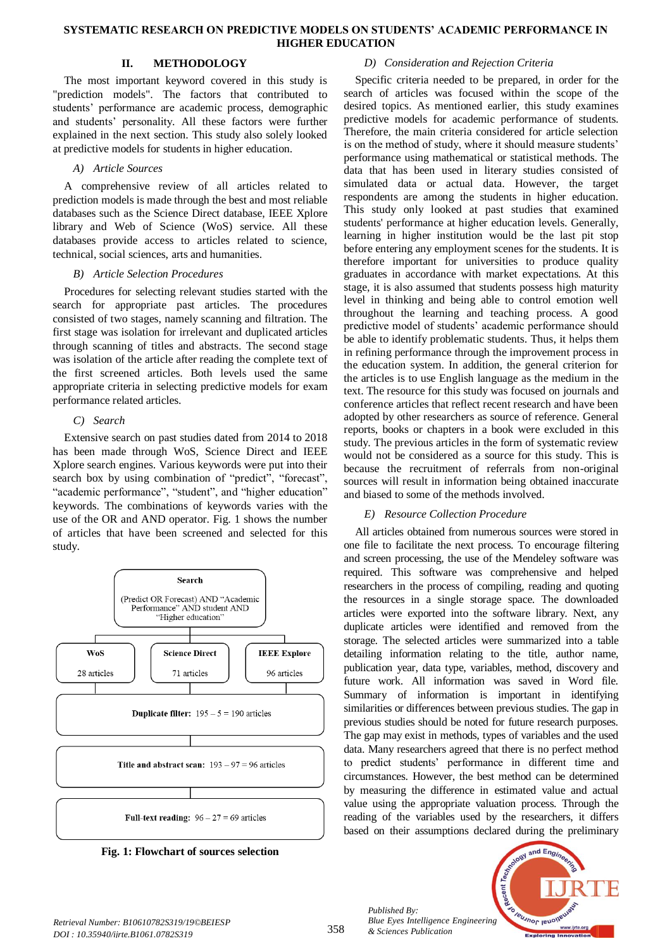## **II. METHODOLOGY**

The most important keyword covered in this study is "prediction models". The factors that contributed to students' performance are academic process, demographic and students' personality. All these factors were further explained in the next section. This study also solely looked at predictive models for students in higher education.

## *A) Article Sources*

A comprehensive review of all articles related to prediction models is made through the best and most reliable databases such as the Science Direct database, IEEE Xplore library and Web of Science (WoS) service. All these databases provide access to articles related to science, technical, social sciences, arts and humanities.

## *B) Article Selection Procedures*

Procedures for selecting relevant studies started with the search for appropriate past articles. The procedures consisted of two stages, namely scanning and filtration. The first stage was isolation for irrelevant and duplicated articles through scanning of titles and abstracts. The second stage was isolation of the article after reading the complete text of the first screened articles. Both levels used the same appropriate criteria in selecting predictive models for exam performance related articles.

## *C) Search*

Extensive search on past studies dated from 2014 to 2018 has been made through WoS, Science Direct and IEEE Xplore search engines. Various keywords were put into their search box by using combination of "predict", "forecast", "academic performance", "student", and "higher education" keywords. The combinations of keywords varies with the use of the OR and AND operator. Fig. 1 shows the number of articles that have been screened and selected for this study.





## *D) Consideration and Rejection Criteria*

Specific criteria needed to be prepared, in order for the search of articles was focused within the scope of the desired topics. As mentioned earlier, this study examines predictive models for academic performance of students. Therefore, the main criteria considered for article selection is on the method of study, where it should measure students' performance using mathematical or statistical methods. The data that has been used in literary studies consisted of simulated data or actual data. However, the target respondents are among the students in higher education. This study only looked at past studies that examined students' performance at higher education levels. Generally, learning in higher institution would be the last pit stop before entering any employment scenes for the students. It is therefore important for universities to produce quality graduates in accordance with market expectations. At this stage, it is also assumed that students possess high maturity level in thinking and being able to control emotion well throughout the learning and teaching process. A good predictive model of students' academic performance should be able to identify problematic students. Thus, it helps them in refining performance through the improvement process in the education system. In addition, the general criterion for the articles is to use English language as the medium in the text. The resource for this study was focused on journals and conference articles that reflect recent research and have been adopted by other researchers as source of reference. General reports, books or chapters in a book were excluded in this study. The previous articles in the form of systematic review would not be considered as a source for this study. This is because the recruitment of referrals from non-original sources will result in information being obtained inaccurate and biased to some of the methods involved.

## *E) Resource Collection Procedure*

All articles obtained from numerous sources were stored in one file to facilitate the next process. To encourage filtering and screen processing, the use of the Mendeley software was required. This software was comprehensive and helped researchers in the process of compiling, reading and quoting the resources in a single storage space. The downloaded articles were exported into the software library. Next, any duplicate articles were identified and removed from the storage. The selected articles were summarized into a table detailing information relating to the title, author name, publication year, data type, variables, method, discovery and future work. All information was saved in Word file. Summary of information is important in identifying similarities or differences between previous studies. The gap in previous studies should be noted for future research purposes. The gap may exist in methods, types of variables and the used data. Many researchers agreed that there is no perfect method to predict students' performance in different time and circumstances. However, the best method can be determined by measuring the difference in estimated value and actual value using the appropriate valuation process. Through the reading of the variables used by the researchers, it differs based on their assumptions declared during the preliminary

*Published By: Blue Eyes Intelligence Engineering & Sciences Publication* 

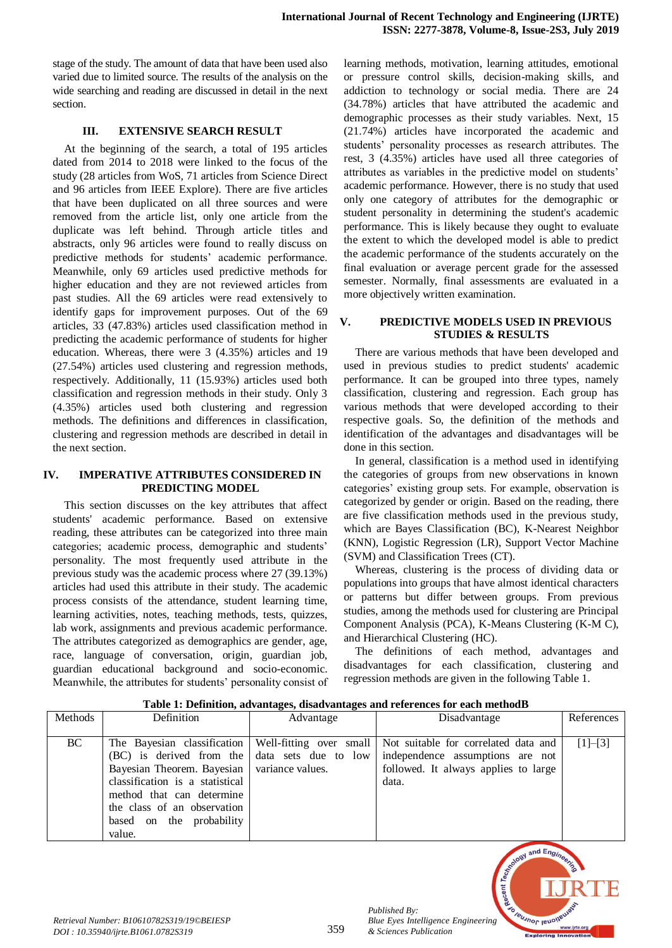stage of the study. The amount of data that have been used also varied due to limited source. The results of the analysis on the wide searching and reading are discussed in detail in the next section.

## **III. EXTENSIVE SEARCH RESULT**

At the beginning of the search, a total of 195 articles dated from 2014 to 2018 were linked to the focus of the study (28 articles from WoS, 71 articles from Science Direct and 96 articles from IEEE Explore). There are five articles that have been duplicated on all three sources and were removed from the article list, only one article from the duplicate was left behind. Through article titles and abstracts, only 96 articles were found to really discuss on predictive methods for students' academic performance. Meanwhile, only 69 articles used predictive methods for higher education and they are not reviewed articles from past studies. All the 69 articles were read extensively to identify gaps for improvement purposes. Out of the 69 articles, 33 (47.83%) articles used classification method in predicting the academic performance of students for higher education. Whereas, there were 3 (4.35%) articles and 19 (27.54%) articles used clustering and regression methods, respectively. Additionally, 11 (15.93%) articles used both classification and regression methods in their study. Only 3 (4.35%) articles used both clustering and regression methods. The definitions and differences in classification, clustering and regression methods are described in detail in the next section.

## **IV. IMPERATIVE ATTRIBUTES CONSIDERED IN PREDICTING MODEL**

This section discusses on the key attributes that affect students' academic performance. Based on extensive reading, these attributes can be categorized into three main categories; academic process, demographic and students' personality. The most frequently used attribute in the previous study was the academic process where 27 (39.13%) articles had used this attribute in their study. The academic process consists of the attendance, student learning time, learning activities, notes, teaching methods, tests, quizzes, lab work, assignments and previous academic performance. The attributes categorized as demographics are gender, age, race, language of conversation, origin, guardian job, guardian educational background and socio-economic. Meanwhile, the attributes for students' personality consist of learning methods, motivation, learning attitudes, emotional or pressure control skills, decision-making skills, and addiction to technology or social media. There are 24 (34.78%) articles that have attributed the academic and demographic processes as their study variables. Next, 15 (21.74%) articles have incorporated the academic and students' personality processes as research attributes. The rest, 3 (4.35%) articles have used all three categories of attributes as variables in the predictive model on students' academic performance. However, there is no study that used only one category of attributes for the demographic or student personality in determining the student's academic performance. This is likely because they ought to evaluate the extent to which the developed model is able to predict the academic performance of the students accurately on the final evaluation or average percent grade for the assessed semester. Normally, final assessments are evaluated in a more objectively written examination.

## **V. PREDICTIVE MODELS USED IN PREVIOUS STUDIES & RESULTS**

There are various methods that have been developed and used in previous studies to predict students' academic performance. It can be grouped into three types, namely classification, clustering and regression. Each group has various methods that were developed according to their respective goals. So, the definition of the methods and identification of the advantages and disadvantages will be done in this section.

In general, classification is a method used in identifying the categories of groups from new observations in known categories' existing group sets. For example, observation is categorized by gender or origin. Based on the reading, there are five classification methods used in the previous study, which are Bayes Classification (BC), K-Nearest Neighbor (KNN), Logistic Regression (LR), Support Vector Machine (SVM) and Classification Trees (CT).

Whereas, clustering is the process of dividing data or populations into groups that have almost identical characters or patterns but differ between groups. From previous studies, among the methods used for clustering are Principal Component Analysis (PCA), K-Means Clustering (K-M C), and Hierarchical Clustering (HC).

The definitions of each method, advantages and disadvantages for each classification, clustering and regression methods are given in the following Table 1.

| Methods | Definition                                                                                                                                                                         | Advantage | Disadvantage                                                                                                                                                                                                                    | References |
|---------|------------------------------------------------------------------------------------------------------------------------------------------------------------------------------------|-----------|---------------------------------------------------------------------------------------------------------------------------------------------------------------------------------------------------------------------------------|------------|
| BC      | Bayesian Theorem. Bayesian   variance values.<br>classification is a statistical<br>method that can determine<br>the class of an observation<br>based on the probability<br>value. |           | The Bayesian classification   Well-fitting over small   Not suitable for correlated data and<br>(BC) is derived from the data sets due to low independence assumptions are not<br>followed. It always applies to large<br>data. | $[1]-[3]$  |

**Table 1: Definition, advantages, disadvantages and references for each methodB**



*Published By:*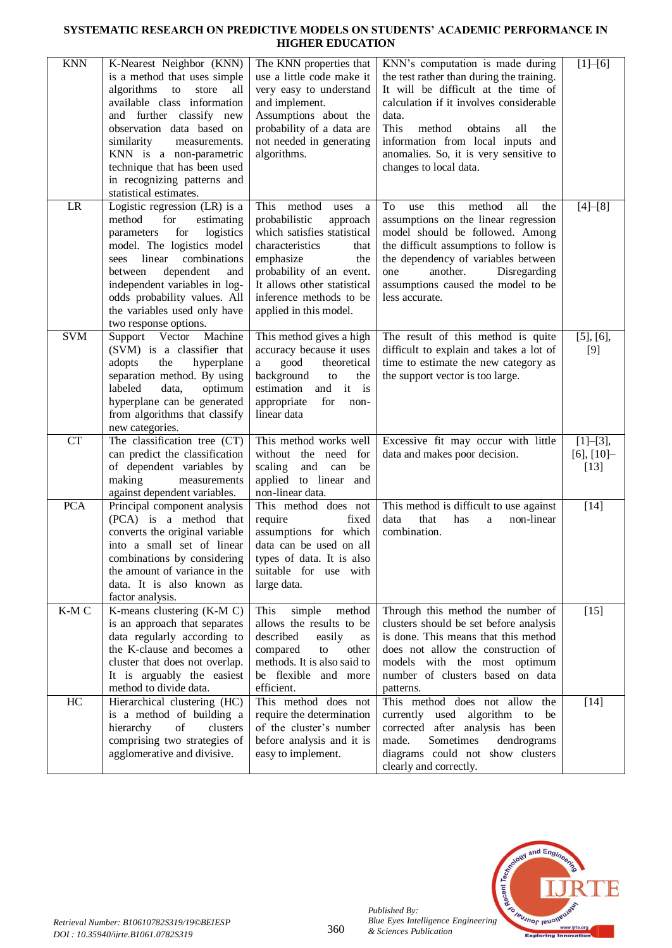## **SYSTEMATIC RESEARCH ON PREDICTIVE MODELS ON STUDENTS' ACADEMIC PERFORMANCE IN HIGHER EDUCATION**

| $\mathop{\rm KNN}\nolimits$ | K-Nearest Neighbor (KNN)<br>is a method that uses simple<br>algorithms to<br>store all<br>available class information<br>and further classify new<br>observation data based on<br>similarity<br>measurements.<br>KNN is a non-parametric<br>technique that has been used<br>in recognizing patterns and<br>statistical estimates. | The KNN properties that<br>use a little code make it<br>very easy to understand<br>and implement.<br>Assumptions about the<br>probability of a data are<br>not needed in generating<br>algorithms.                                               | KNN's computation is made during<br>the test rather than during the training.<br>It will be difficult at the time of<br>calculation if it involves considerable<br>data.<br>This<br>method<br>obtains<br>all<br>the<br>information from local inputs and<br>anomalies. So, it is very sensitive to<br>changes to local data. | $[1] - [6]$                              |
|-----------------------------|-----------------------------------------------------------------------------------------------------------------------------------------------------------------------------------------------------------------------------------------------------------------------------------------------------------------------------------|--------------------------------------------------------------------------------------------------------------------------------------------------------------------------------------------------------------------------------------------------|------------------------------------------------------------------------------------------------------------------------------------------------------------------------------------------------------------------------------------------------------------------------------------------------------------------------------|------------------------------------------|
| LR                          | Logistic regression (LR) is a<br>for<br>method<br>estimating<br>for<br>logistics<br>parameters<br>model. The logistics model<br>linear<br>combinations<br>sees<br>dependent<br>and<br>between<br>independent variables in log-<br>odds probability values. All<br>the variables used only have<br>two response options.           | This method uses<br>a<br>probabilistic<br>approach<br>which satisfies statistical<br>characteristics<br>that<br>emphasize<br>the<br>probability of an event.<br>It allows other statistical<br>inference methods to be<br>applied in this model. | this<br>To<br>method<br>all<br>the<br>use<br>assumptions on the linear regression<br>model should be followed. Among<br>the difficult assumptions to follow is<br>the dependency of variables between<br>another.<br>Disregarding<br>one<br>assumptions caused the model to be<br>less accurate.                             | $[4]-[8]$                                |
| <b>SVM</b>                  | Support Vector<br>Machine<br>(SVM) is a classifier that<br>adopts<br>the<br>hyperplane<br>separation method. By using<br>labeled<br>data,<br>optimum<br>hyperplane can be generated<br>from algorithms that classify<br>new categories.                                                                                           | This method gives a high<br>accuracy because it uses<br>good<br>theoretical<br>a<br>background to<br>the<br>estimation and it is<br>appropriate<br>for<br>non-<br>linear data                                                                    | The result of this method is quite<br>difficult to explain and takes a lot of<br>time to estimate the new category as<br>the support vector is too large.                                                                                                                                                                    | $[5]$ , $[6]$ ,<br>$[9]$                 |
| <b>CT</b>                   | The classification tree (CT)<br>can predict the classification<br>of dependent variables by<br>making<br>measurements<br>against dependent variables.                                                                                                                                                                             | This method works well<br>without the need for<br>scaling<br>and can<br>be<br>applied to linear<br>and<br>non-linear data.                                                                                                                       | Excessive fit may occur with little<br>data and makes poor decision.                                                                                                                                                                                                                                                         | $[1]-[3],$<br>$[6]$ , $[10]$ -<br>$[13]$ |
| <b>PCA</b>                  | Principal component analysis<br>(PCA) is a method that<br>converts the original variable<br>into a small set of linear<br>combinations by considering<br>the amount of variance in the<br>data. It is also known as<br>factor analysis.                                                                                           | This method does not<br>require<br>fixed<br>assumptions for which<br>data can be used on all<br>types of data. It is also<br>suitable for use with<br>large data.                                                                                | This method is difficult to use against<br>that<br>non-linear<br>data<br>has<br>a<br>combination.                                                                                                                                                                                                                            | $[14]$                                   |
| K-MC                        | K-means clustering (K-M C)<br>is an approach that separates<br>data regularly according to<br>the K-clause and becomes a<br>cluster that does not overlap.<br>It is arguably the easiest<br>method to divide data.                                                                                                                | This<br>simple<br>method<br>allows the results to be<br>described<br>easily<br>as<br>compared<br>other<br>to<br>methods. It is also said to<br>be flexible and more<br>efficient.                                                                | Through this method the number of<br>clusters should be set before analysis<br>is done. This means that this method<br>does not allow the construction of<br>models with the most optimum<br>number of clusters based on data<br>patterns.                                                                                   | $[15]$                                   |
| HC                          | Hierarchical clustering (HC)<br>is a method of building a<br>hierarchy<br>$% \left( \left( \mathcal{A},\mathcal{A}\right) \right) =\left( \mathcal{A},\mathcal{A}\right)$ of<br>clusters<br>comprising two strategies of<br>agglomerative and divisive.                                                                           | This method does not<br>require the determination<br>of the cluster's number<br>before analysis and it is<br>easy to implement.                                                                                                                  | This method does not allow<br>the<br>currently used algorithm to<br>be<br>corrected after analysis has been<br>Sometimes<br>made.<br>dendrograms<br>diagrams could not show clusters<br>clearly and correctly.                                                                                                               | $[14]$                                   |



*Published By:*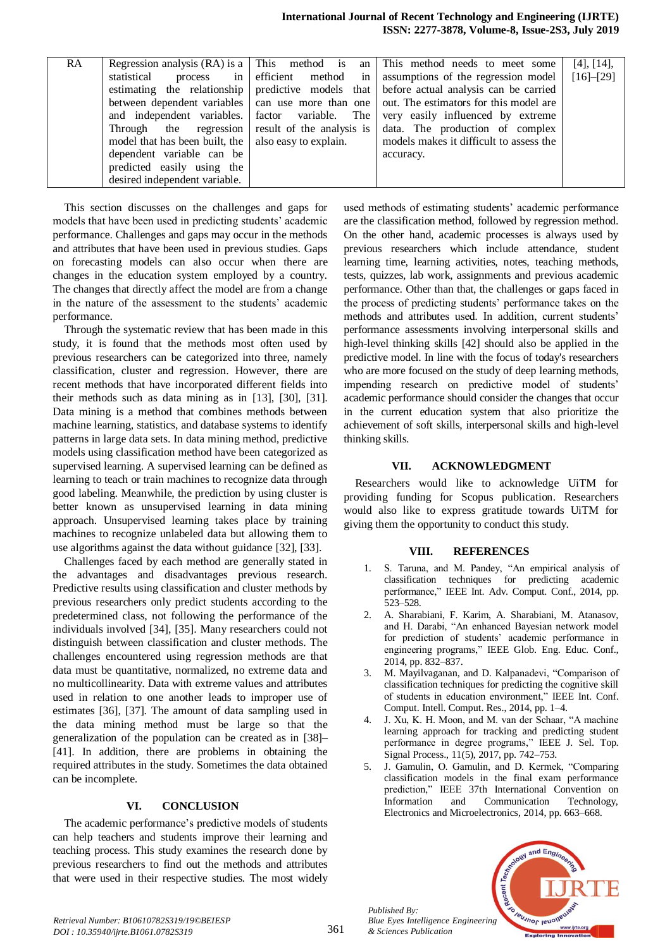| <b>RA</b> |                                                      |                           | Regression analysis $(RA)$ is a $\vert$ This method is an $\vert$ This method needs to meet some | [4], [14],  |
|-----------|------------------------------------------------------|---------------------------|--------------------------------------------------------------------------------------------------|-------------|
|           | statistical<br>process                               | in efficient method in    | assumptions of the regression model                                                              | $[16]-[29]$ |
|           |                                                      |                           | estimating the relationship predictive models that before actual analysis can be carried         |             |
|           |                                                      |                           | between dependent variables   can use more than one   out. The estimators for this model are     |             |
|           | and independent variables. factor variable. The      |                           | very easily influenced by extreme                                                                |             |
|           | Through the regression                               | result of the analysis is | data. The production of complex                                                                  |             |
|           | model that has been built, the also easy to explain. |                           | models makes it difficult to assess the                                                          |             |
|           | dependent variable can be                            |                           | accuracy.                                                                                        |             |
|           | predicted easily using the                           |                           |                                                                                                  |             |
|           | desired independent variable.                        |                           |                                                                                                  |             |

This section discusses on the challenges and gaps for models that have been used in predicting students' academic performance. Challenges and gaps may occur in the methods and attributes that have been used in previous studies. Gaps on forecasting models can also occur when there are changes in the education system employed by a country. The changes that directly affect the model are from a change in the nature of the assessment to the students' academic performance.

Through the systematic review that has been made in this study, it is found that the methods most often used by previous researchers can be categorized into three, namely classification, cluster and regression. However, there are recent methods that have incorporated different fields into their methods such as data mining as in [13], [30], [31]. Data mining is a method that combines methods between machine learning, statistics, and database systems to identify patterns in large data sets. In data mining method, predictive models using classification method have been categorized as supervised learning. A supervised learning can be defined as learning to teach or train machines to recognize data through good labeling. Meanwhile, the prediction by using cluster is better known as unsupervised learning in data mining approach. Unsupervised learning takes place by training machines to recognize unlabeled data but allowing them to use algorithms against the data without guidance [32], [33].

Challenges faced by each method are generally stated in the advantages and disadvantages previous research. Predictive results using classification and cluster methods by previous researchers only predict students according to the predetermined class, not following the performance of the individuals involved [34], [35]. Many researchers could not distinguish between classification and cluster methods. The challenges encountered using regression methods are that data must be quantitative, normalized, no extreme data and no multicollinearity. Data with extreme values and attributes used in relation to one another leads to improper use of estimates [36], [37]. The amount of data sampling used in the data mining method must be large so that the generalization of the population can be created as in [38]– [41]. In addition, there are problems in obtaining the required attributes in the study. Sometimes the data obtained can be incomplete.

#### **VI. CONCLUSION**

The academic performance's predictive models of students can help teachers and students improve their learning and teaching process. This study examines the research done by previous researchers to find out the methods and attributes that were used in their respective studies. The most widely

used methods of estimating students' academic performance are the classification method, followed by regression method. On the other hand, academic processes is always used by previous researchers which include attendance, student learning time, learning activities, notes, teaching methods, tests, quizzes, lab work, assignments and previous academic performance. Other than that, the challenges or gaps faced in the process of predicting students' performance takes on the methods and attributes used. In addition, current students' performance assessments involving interpersonal skills and high-level thinking skills [42] should also be applied in the predictive model. In line with the focus of today's researchers who are more focused on the study of deep learning methods, impending research on predictive model of students' academic performance should consider the changes that occur in the current education system that also prioritize the achievement of soft skills, interpersonal skills and high-level thinking skills.

## **VII. ACKNOWLEDGMENT**

Researchers would like to acknowledge UiTM for providing funding for Scopus publication. Researchers would also like to express gratitude towards UiTM for giving them the opportunity to conduct this study.

#### **VIII. REFERENCES**

- 1. S. Taruna, and M. Pandey, "An empirical analysis of classification techniques for predicting academic performance," IEEE Int. Adv. Comput. Conf., 2014, pp. 523–528.
- 2. A. Sharabiani, F. Karim, A. Sharabiani, M. Atanasov, and H. Darabi, "An enhanced Bayesian network model for prediction of students' academic performance in engineering programs," IEEE Glob. Eng. Educ. Conf., 2014, pp. 832–837.
- M. Mayilvaganan, and D. Kalpanadevi, "Comparison of classification techniques for predicting the cognitive skill of students in education environment," IEEE Int. Conf. Comput. Intell. Comput. Res., 2014, pp. 1–4.
- J. Xu, K. H. Moon, and M. van der Schaar, "A machine learning approach for tracking and predicting student performance in degree programs," IEEE J. Sel. Top. Signal Process., 11(5), 2017, pp. 742–753.
- 5. J. Gamulin, O. Gamulin, and D. Kermek, "Comparing classification models in the final exam performance prediction," IEEE 37th International Convention on Information and Communication Technology, Electronics and Microelectronics, 2014, pp. 663–668.



*Published By:*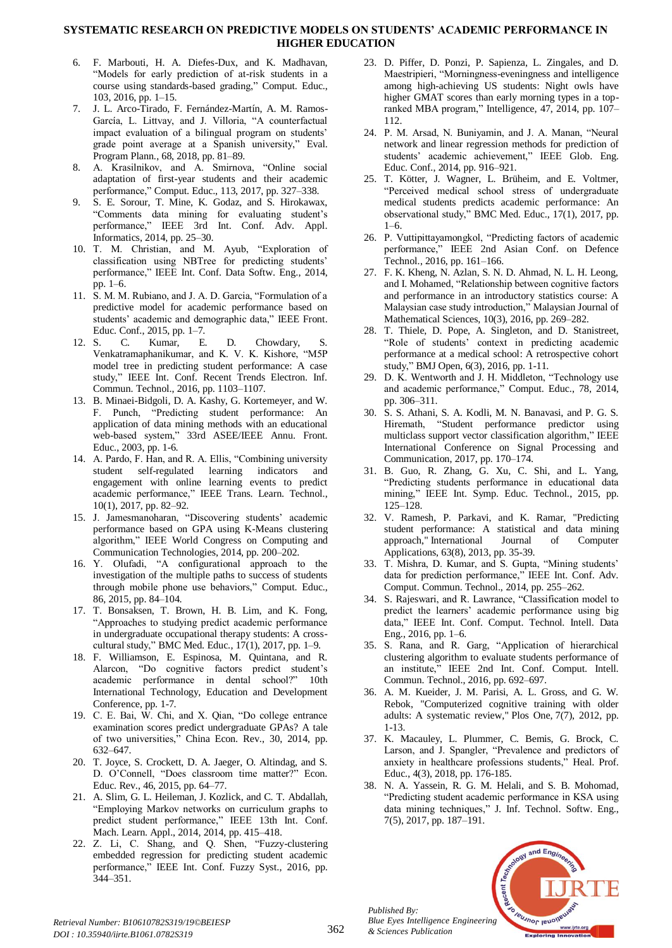## **SYSTEMATIC RESEARCH ON PREDICTIVE MODELS ON STUDENTS' ACADEMIC PERFORMANCE IN HIGHER EDUCATION**

- 6. F. Marbouti, H. A. Diefes-Dux, and K. Madhavan, "Models for early prediction of at-risk students in a course using standards-based grading," Comput. Educ., 103, 2016, pp. 1–15.
- 7. J. L. Arco-Tirado, F. Fernández-Martín, A. M. Ramos-García, L. Littvay, and J. Villoria, "A counterfactual impact evaluation of a bilingual program on students' grade point average at a Spanish university," Eval. Program Plann., 68, 2018, pp. 81–89.
- 8. A. Krasilnikov, and A. Smirnova, "Online social adaptation of first-year students and their academic performance," Comput. Educ., 113, 2017, pp. 327–338.
- 9. S. E. Sorour, T. Mine, K. Godaz, and S. Hirokawax, "Comments data mining for evaluating student's performance," IEEE 3rd Int. Conf. Adv. Appl. Informatics, 2014, pp. 25–30.
- 10. T. M. Christian, and M. Ayub, "Exploration of classification using NBTree for predicting students' performance," IEEE Int. Conf. Data Softw. Eng., 2014, pp. 1–6.
- 11. S. M. M. Rubiano, and J. A. D. Garcia, "Formulation of a predictive model for academic performance based on students' academic and demographic data," IEEE Front. Educ. Conf., 2015, pp. 1–7.
- 12. S. C. Kumar, E. D. Chowdary, Venkatramaphanikumar, and K. V. K. Kishore, "M5P model tree in predicting student performance: A case study," IEEE Int. Conf. Recent Trends Electron. Inf. Commun. Technol., 2016, pp. 1103–1107.
- 13. B. Minaei-Bidgoli, D. A. Kashy, G. Kortemeyer, and W. F. Punch, "Predicting student performance: An application of data mining methods with an educational web-based system," 33rd ASEE/IEEE Annu. Front. Educ., 2003, pp. 1-6.
- 14. A. Pardo, F. Han, and R. A. Ellis, "Combining university student self-regulated learning indicators and engagement with online learning events to predict academic performance," IEEE Trans. Learn. Technol., 10(1), 2017, pp. 82–92.
- 15. J. Jamesmanoharan, "Discovering students' academic performance based on GPA using K-Means clustering algorithm," IEEE World Congress on Computing and Communication Technologies, 2014, pp. 200–202.
- 16. Y. Olufadi, "A configurational approach to the investigation of the multiple paths to success of students through mobile phone use behaviors," Comput. Educ., 86, 2015, pp. 84–104.
- 17. T. Bonsaksen, T. Brown, H. B. Lim, and K. Fong, "Approaches to studying predict academic performance in undergraduate occupational therapy students: A crosscultural study," BMC Med. Educ., 17(1), 2017, pp. 1–9.
- 18. F. Williamson, E. Espinosa, M. Quintana, and R. Alarcon, "Do cognitive factors predict student's academic performance in dental school?" 10th International Technology, Education and Development Conference, pp. 1-7.
- 19. C. E. Bai, W. Chi, and X. Qian, "Do college entrance examination scores predict undergraduate GPAs? A tale of two universities," China Econ. Rev., 30, 2014, pp. 632–647.
- 20. T. Joyce, S. Crockett, D. A. Jaeger, O. Altindag, and S. D. O'Connell, "Does classroom time matter?" Econ. Educ. Rev., 46, 2015, pp. 64–77.
- 21. A. Slim, G. L. Heileman, J. Kozlick, and C. T. Abdallah, "Employing Markov networks on curriculum graphs to predict student performance," IEEE 13th Int. Conf. Mach. Learn. Appl., 2014, 2014, pp. 415–418.
- 22. Z. Li, C. Shang, and Q. Shen, "Fuzzy-clustering embedded regression for predicting student academic performance," IEEE Int. Conf. Fuzzy Syst., 2016, pp. 344–351.
- 23. D. Piffer, D. Ponzi, P. Sapienza, L. Zingales, and D. Maestripieri, "Morningness-eveningness and intelligence among high-achieving US students: Night owls have higher GMAT scores than early morning types in a topranked MBA program," Intelligence, 47, 2014, pp. 107– 112.
- 24. P. M. Arsad, N. Buniyamin, and J. A. Manan, "Neural network and linear regression methods for prediction of students' academic achievement," IEEE Glob. Eng. Educ. Conf., 2014, pp. 916–921.
- 25. T. Kötter, J. Wagner, L. Brüheim, and E. Voltmer, "Perceived medical school stress of undergraduate medical students predicts academic performance: An observational study," BMC Med. Educ., 17(1), 2017, pp. 1–6.
- 26. P. Vuttipittayamongkol, "Predicting factors of academic performance," IEEE 2nd Asian Conf. on Defence Technol., 2016, pp. 161–166.
- 27. F. K. Kheng, N. Azlan, S. N. D. Ahmad, N. L. H. Leong, and I. Mohamed, "Relationship between cognitive factors and performance in an introductory statistics course: A Malaysian case study introduction," Malaysian Journal of Mathematical Sciences, 10(3), 2016, pp. 269–282.
- 28. T. Thiele, D. Pope, A. Singleton, and D. Stanistreet, "Role of students' context in predicting academic performance at a medical school: A retrospective cohort study," BMJ Open, 6(3), 2016, pp. 1-11.
- 29. D. K. Wentworth and J. H. Middleton, "Technology use and academic performance," Comput. Educ., 78, 2014, pp. 306–311.
- 30. S. S. Athani, S. A. Kodli, M. N. Banavasi, and P. G. S. Hiremath, "Student performance predictor using multiclass support vector classification algorithm," IEEE International Conference on Signal Processing and Communication, 2017, pp. 170–174.
- 31. B. Guo, R. Zhang, G. Xu, C. Shi, and L. Yang, "Predicting students performance in educational data mining," IEEE Int. Symp. Educ. Technol., 2015, pp. 125–128.
- 32. V. Ramesh, P. Parkavi, and K. Ramar, "Predicting student performance: A statistical and data mining approach," International Journal of Computer Applications, 63(8), 2013, pp. 35-39.
- 33. T. Mishra, D. Kumar, and S. Gupta, "Mining students' data for prediction performance," IEEE Int. Conf. Adv. Comput. Commun. Technol., 2014, pp. 255–262.
- 34. S. Rajeswari, and R. Lawrance, "Classification model to predict the learners' academic performance using big data," IEEE Int. Conf. Comput. Technol. Intell. Data Eng., 2016, pp. 1–6.
- 35. S. Rana, and R. Garg, "Application of hierarchical clustering algorithm to evaluate students performance of an institute," IEEE 2nd Int. Conf. Comput. Intell. Commun. Technol., 2016, pp. 692–697.
- 36. A. M. Kueider, J. M. Parisi, A. L. Gross, and G. W. Rebok, "Computerized cognitive training with older adults: A systematic review," Plos One, 7(7), 2012, pp. 1-13.
- 37. K. Macauley, L. Plummer, C. Bemis, G. Brock, C. Larson, and J. Spangler, "Prevalence and predictors of anxiety in healthcare professions students," Heal. Prof. Educ., 4(3), 2018, pp. 176-185.
- 38. N. A. Yassein, R. G. M. Helali, and S. B. Mohomad, "Predicting student academic performance in KSA using data mining techniques," J. Inf. Technol. Softw. Eng., 7(5), 2017, pp. 187–191.



*Published By:*